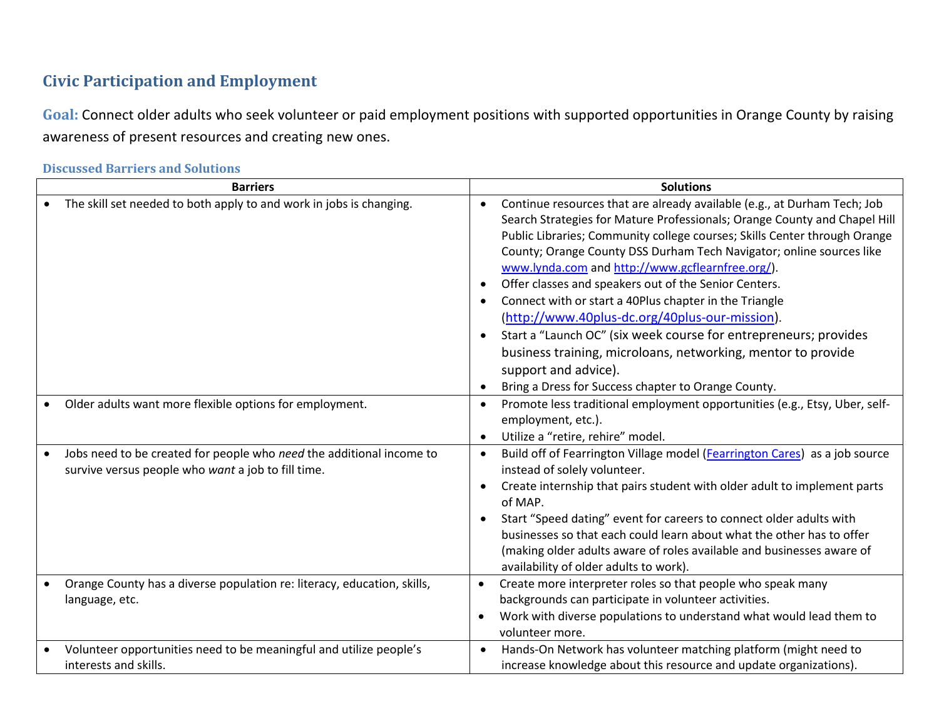## **Civic Participation and Employment**

**Goal:** Connect older adults who seek volunteer or paid employment positions with supported opportunities in Orange County by raising awareness of present resources and creating new ones.

| <b>Barriers</b> |                                                                                                                            | <b>Solutions</b>                    |                                                                                                                                                                                                                                                                                                                                                                                                                                                                                                                                                                                                                                                                                                                                                        |
|-----------------|----------------------------------------------------------------------------------------------------------------------------|-------------------------------------|--------------------------------------------------------------------------------------------------------------------------------------------------------------------------------------------------------------------------------------------------------------------------------------------------------------------------------------------------------------------------------------------------------------------------------------------------------------------------------------------------------------------------------------------------------------------------------------------------------------------------------------------------------------------------------------------------------------------------------------------------------|
|                 | The skill set needed to both apply to and work in jobs is changing.                                                        | $\bullet$<br>$\bullet$<br>$\bullet$ | Continue resources that are already available (e.g., at Durham Tech; Job<br>Search Strategies for Mature Professionals; Orange County and Chapel Hill<br>Public Libraries; Community college courses; Skills Center through Orange<br>County; Orange County DSS Durham Tech Navigator; online sources like<br>www.lynda.com and http://www.gcflearnfree.org/).<br>Offer classes and speakers out of the Senior Centers.<br>Connect with or start a 40Plus chapter in the Triangle<br>(http://www.40plus-dc.org/40plus-our-mission).<br>Start a "Launch OC" (six week course for entrepreneurs; provides<br>business training, microloans, networking, mentor to provide<br>support and advice).<br>Bring a Dress for Success chapter to Orange County. |
|                 | Older adults want more flexible options for employment.                                                                    | $\bullet$<br>$\bullet$              | Promote less traditional employment opportunities (e.g., Etsy, Uber, self-<br>employment, etc.).<br>Utilize a "retire, rehire" model.                                                                                                                                                                                                                                                                                                                                                                                                                                                                                                                                                                                                                  |
|                 | Jobs need to be created for people who need the additional income to<br>survive versus people who want a job to fill time. | $\bullet$<br>$\bullet$<br>$\bullet$ | Build off of Fearrington Village model (Fearrington Cares) as a job source<br>instead of solely volunteer.<br>Create internship that pairs student with older adult to implement parts<br>of MAP.<br>Start "Speed dating" event for careers to connect older adults with<br>businesses so that each could learn about what the other has to offer<br>(making older adults aware of roles available and businesses aware of<br>availability of older adults to work).                                                                                                                                                                                                                                                                                   |
|                 | Orange County has a diverse population re: literacy, education, skills,<br>language, etc.                                  | $\bullet$<br>$\bullet$              | Create more interpreter roles so that people who speak many<br>backgrounds can participate in volunteer activities.<br>Work with diverse populations to understand what would lead them to<br>volunteer more.                                                                                                                                                                                                                                                                                                                                                                                                                                                                                                                                          |
|                 | Volunteer opportunities need to be meaningful and utilize people's<br>interests and skills.                                | $\bullet$                           | Hands-On Network has volunteer matching platform (might need to<br>increase knowledge about this resource and update organizations).                                                                                                                                                                                                                                                                                                                                                                                                                                                                                                                                                                                                                   |

**Discussed Barriers and Solutions**